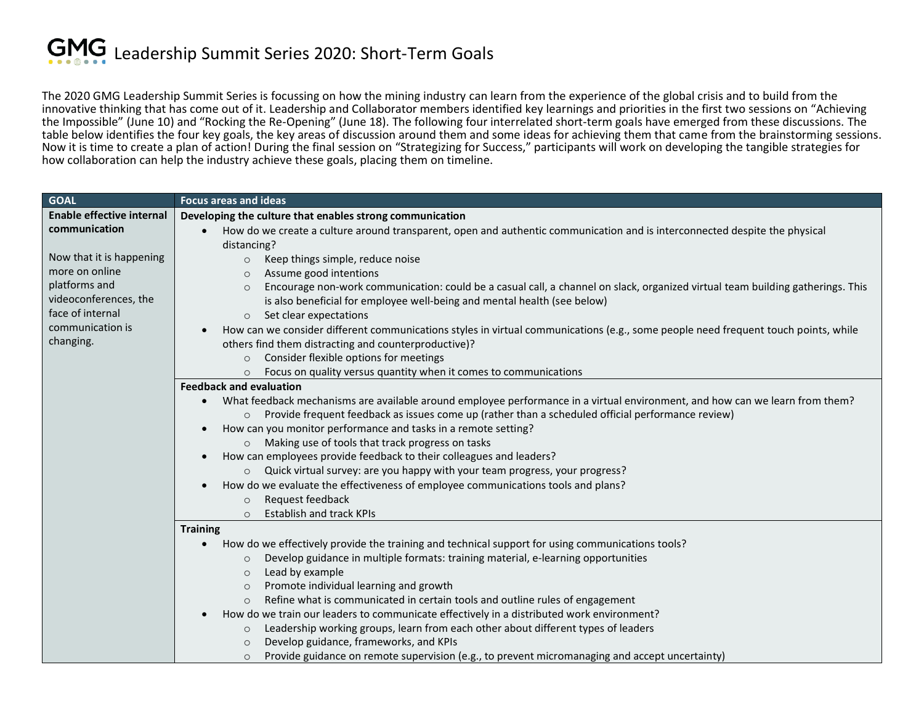The 2020 GMG Leadership Summit Series is focussing on how the mining industry can learn from the experience of the global crisis and to build from the innovative thinking that has come out of it. Leadership and Collaborator members identified key learnings and priorities in the first two sessions on "Achieving the Impossible" (June 10) and "Rocking the Re-Opening" (June 18). The following four interrelated short-term goals have emerged from these discussions. The table below identifies the four key goals, the key areas of discussion around them and some ideas for achieving them that came from the brainstorming sessions. Now it is time to create a plan of action! During the final session on "Strategizing for Success," participants will work on developing the tangible strategies for how collaboration can help the industry achieve these goals, placing them on timeline.

| <b>GOAL</b>                      | <b>Focus areas and ideas</b>                                                                                                                           |
|----------------------------------|--------------------------------------------------------------------------------------------------------------------------------------------------------|
| <b>Enable effective internal</b> | Developing the culture that enables strong communication                                                                                               |
| communication                    | How do we create a culture around transparent, open and authentic communication and is interconnected despite the physical<br>$\bullet$<br>distancing? |
| Now that it is happening         | Keep things simple, reduce noise<br>$\circ$                                                                                                            |
| more on online                   | Assume good intentions<br>$\circ$                                                                                                                      |
| platforms and                    | Encourage non-work communication: could be a casual call, a channel on slack, organized virtual team building gatherings. This<br>$\circ$              |
| videoconferences, the            | is also beneficial for employee well-being and mental health (see below)                                                                               |
| face of internal                 | Set clear expectations<br>$\circ$                                                                                                                      |
| communication is                 | How can we consider different communications styles in virtual communications (e.g., some people need frequent touch points, while<br>$\bullet$        |
| changing.                        | others find them distracting and counterproductive)?                                                                                                   |
|                                  | Consider flexible options for meetings<br>$\circ$                                                                                                      |
|                                  | Focus on quality versus quantity when it comes to communications<br>$\circ$                                                                            |
|                                  | <b>Feedback and evaluation</b>                                                                                                                         |
|                                  | What feedback mechanisms are available around employee performance in a virtual environment, and how can we learn from them?<br>$\bullet$              |
|                                  | Provide frequent feedback as issues come up (rather than a scheduled official performance review)<br>$\circ$                                           |
|                                  | How can you monitor performance and tasks in a remote setting?<br>$\bullet$                                                                            |
|                                  | Making use of tools that track progress on tasks<br>$\circ$                                                                                            |
|                                  | How can employees provide feedback to their colleagues and leaders?<br>$\bullet$                                                                       |
|                                  | Quick virtual survey: are you happy with your team progress, your progress?<br>$\circ$                                                                 |
|                                  | How do we evaluate the effectiveness of employee communications tools and plans?                                                                       |
|                                  | Request feedback<br>$\circ$                                                                                                                            |
|                                  | <b>Establish and track KPIs</b><br>$\circ$                                                                                                             |
|                                  | <b>Training</b>                                                                                                                                        |
|                                  | How do we effectively provide the training and technical support for using communications tools?<br>$\bullet$                                          |
|                                  | Develop guidance in multiple formats: training material, e-learning opportunities<br>$\circ$                                                           |
|                                  | Lead by example<br>$\circ$                                                                                                                             |
|                                  | Promote individual learning and growth<br>$\circ$                                                                                                      |
|                                  | Refine what is communicated in certain tools and outline rules of engagement<br>$\circ$                                                                |
|                                  | How do we train our leaders to communicate effectively in a distributed work environment?                                                              |
|                                  | Leadership working groups, learn from each other about different types of leaders<br>$\circ$                                                           |
|                                  | Develop guidance, frameworks, and KPIs<br>$\circ$                                                                                                      |
|                                  | Provide guidance on remote supervision (e.g., to prevent micromanaging and accept uncertainty)<br>$\circ$                                              |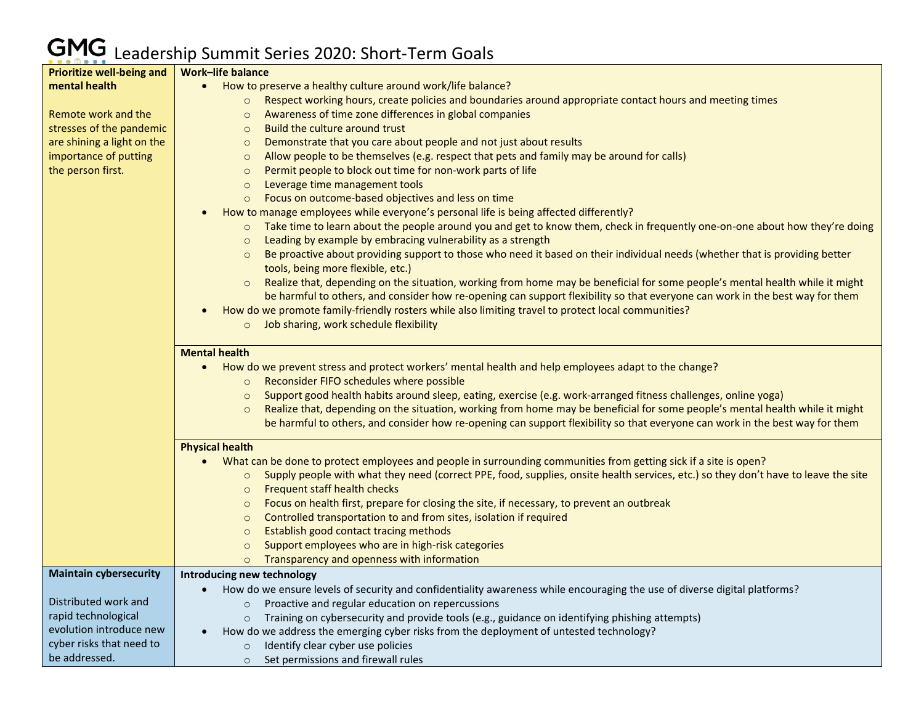## Leadership Summit Series 2020: Short-Term Goals

| <b>Prioritize well-being and</b> | <b>Work-life balance</b>                                                                                                                      |
|----------------------------------|-----------------------------------------------------------------------------------------------------------------------------------------------|
| mental health                    | How to preserve a healthy culture around work/life balance?                                                                                   |
|                                  | o Respect working hours, create policies and boundaries around appropriate contact hours and meeting times                                    |
| Remote work and the              | Awareness of time zone differences in global companies<br>$\circ$                                                                             |
| stresses of the pandemic         | Build the culture around trust<br>$\circ$                                                                                                     |
| are shining a light on the       | Demonstrate that you care about people and not just about results<br>$\circ$                                                                  |
| importance of putting            | Allow people to be themselves (e.g. respect that pets and family may be around for calls)<br>$\circ$                                          |
| the person first.                | Permit people to block out time for non-work parts of life<br>$\circ$                                                                         |
|                                  | Leverage time management tools<br>$\circ$                                                                                                     |
|                                  | Focus on outcome-based objectives and less on time<br>$\circ$                                                                                 |
|                                  | How to manage employees while everyone's personal life is being affected differently?                                                         |
|                                  | Take time to learn about the people around you and get to know them, check in frequently one-on-one about how they're doing<br>$\circ$        |
|                                  | Leading by example by embracing vulnerability as a strength<br>$\circ$                                                                        |
|                                  | Be proactive about providing support to those who need it based on their individual needs (whether that is providing better<br>$\circ$        |
|                                  | tools, being more flexible, etc.)                                                                                                             |
|                                  | Realize that, depending on the situation, working from home may be beneficial for some people's mental health while it might<br>$\circ$       |
|                                  | be harmful to others, and consider how re-opening can support flexibility so that everyone can work in the best way for them                  |
|                                  | How do we promote family-friendly rosters while also limiting travel to protect local communities?                                            |
|                                  | o Job sharing, work schedule flexibility                                                                                                      |
|                                  |                                                                                                                                               |
|                                  | <b>Mental health</b>                                                                                                                          |
|                                  | How do we prevent stress and protect workers' mental health and help employees adapt to the change?<br>$\bullet$                              |
|                                  | Reconsider FIFO schedules where possible<br>$\circ$                                                                                           |
|                                  | Support good health habits around sleep, eating, exercise (e.g. work-arranged fitness challenges, online yoga)<br>$\circ$                     |
|                                  | Realize that, depending on the situation, working from home may be beneficial for some people's mental health while it might                  |
|                                  | be harmful to others, and consider how re-opening can support flexibility so that everyone can work in the best way for them                  |
|                                  |                                                                                                                                               |
|                                  | <b>Physical health</b>                                                                                                                        |
|                                  | What can be done to protect employees and people in surrounding communities from getting sick if a site is open?<br>$\bullet$                 |
|                                  | Supply people with what they need (correct PPE, food, supplies, onsite health services, etc.) so they don't have to leave the site<br>$\circ$ |
|                                  | <b>Frequent staff health checks</b><br>$\circ$                                                                                                |
|                                  | Focus on health first, prepare for closing the site, if necessary, to prevent an outbreak<br>$\circ$                                          |
|                                  | Controlled transportation to and from sites, isolation if required<br>$\circ$                                                                 |
|                                  | Establish good contact tracing methods<br>$\circ$                                                                                             |
|                                  | Support employees who are in high-risk categories<br>$\circ$                                                                                  |
|                                  | Transparency and openness with information<br>$\circ$                                                                                         |
| <b>Maintain cybersecurity</b>    | Introducing new technology                                                                                                                    |
|                                  | How do we ensure levels of security and confidentiality awareness while encouraging the use of diverse digital platforms?                     |
| Distributed work and             | Proactive and regular education on repercussions                                                                                              |
| rapid technological              | Training on cybersecurity and provide tools (e.g., guidance on identifying phishing attempts)<br>$\circ$                                      |
| evolution introduce new          | How do we address the emerging cyber risks from the deployment of untested technology?<br>$\bullet$                                           |
| cyber risks that need to         | Identify clear cyber use policies<br>$\circ$                                                                                                  |
| be addressed.                    | Set permissions and firewall rules<br>$\circ$                                                                                                 |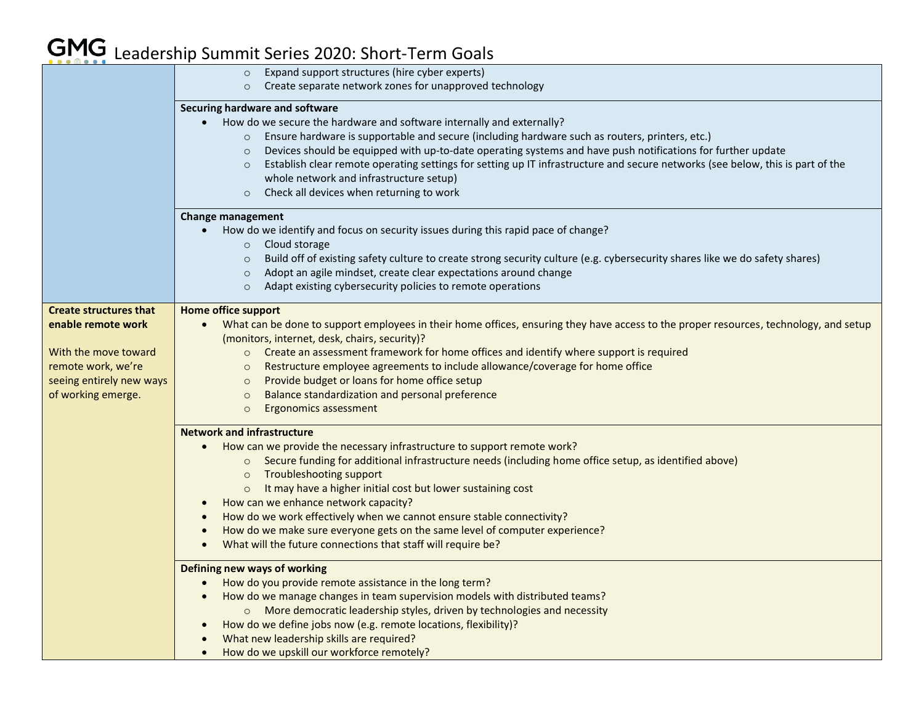## Leadership Summit Series 2020: Short-Term Goals

|                               | o Expand support structures (hire cyber experts)                                                                                                   |
|-------------------------------|----------------------------------------------------------------------------------------------------------------------------------------------------|
|                               | Create separate network zones for unapproved technology<br>$\circ$                                                                                 |
|                               | Securing hardware and software                                                                                                                     |
|                               | How do we secure the hardware and software internally and externally?<br>$\bullet$                                                                 |
|                               | o Ensure hardware is supportable and secure (including hardware such as routers, printers, etc.)                                                   |
|                               | Devices should be equipped with up-to-date operating systems and have push notifications for further update<br>$\circ$                             |
|                               | Establish clear remote operating settings for setting up IT infrastructure and secure networks (see below, this is part of the<br>$\circ$          |
|                               | whole network and infrastructure setup)                                                                                                            |
|                               | Check all devices when returning to work<br>$\circ$                                                                                                |
|                               | Change management                                                                                                                                  |
|                               | How do we identify and focus on security issues during this rapid pace of change?<br>$\bullet$                                                     |
|                               | $\circ$ Cloud storage                                                                                                                              |
|                               | Build off of existing safety culture to create strong security culture (e.g. cybersecurity shares like we do safety shares)<br>$\circ$             |
|                               | Adopt an agile mindset, create clear expectations around change<br>$\circ$                                                                         |
|                               | Adapt existing cybersecurity policies to remote operations<br>$\circ$                                                                              |
| <b>Create structures that</b> | <b>Home office support</b>                                                                                                                         |
| enable remote work            | What can be done to support employees in their home offices, ensuring they have access to the proper resources, technology, and setup              |
|                               | (monitors, internet, desk, chairs, security)?                                                                                                      |
| With the move toward          | o Create an assessment framework for home offices and identify where support is required                                                           |
| remote work, we're            | Restructure employee agreements to include allowance/coverage for home office<br>$\circ$                                                           |
| seeing entirely new ways      | Provide budget or loans for home office setup<br>$\circ$                                                                                           |
| of working emerge.            | Balance standardization and personal preference<br>$\circ$<br>Ergonomics assessment<br>$\circ$                                                     |
|                               |                                                                                                                                                    |
|                               | <b>Network and infrastructure</b>                                                                                                                  |
|                               | How can we provide the necessary infrastructure to support remote work?                                                                            |
|                               | ○ Secure funding for additional infrastructure needs (including home office setup, as identified above)                                            |
|                               | Troubleshooting support<br>$\circ$<br>It may have a higher initial cost but lower sustaining cost                                                  |
|                               | $\circ$<br>How can we enhance network capacity?                                                                                                    |
|                               | How do we work effectively when we cannot ensure stable connectivity?                                                                              |
|                               | How do we make sure everyone gets on the same level of computer experience?                                                                        |
|                               | What will the future connections that staff will require be?                                                                                       |
|                               |                                                                                                                                                    |
|                               | Defining new ways of working                                                                                                                       |
|                               | How do you provide remote assistance in the long term?<br>$\bullet$<br>How do we manage changes in team supervision models with distributed teams? |
|                               | o More democratic leadership styles, driven by technologies and necessity                                                                          |
|                               | How do we define jobs now (e.g. remote locations, flexibility)?                                                                                    |
|                               | What new leadership skills are required?                                                                                                           |
|                               | How do we upskill our workforce remotely?                                                                                                          |